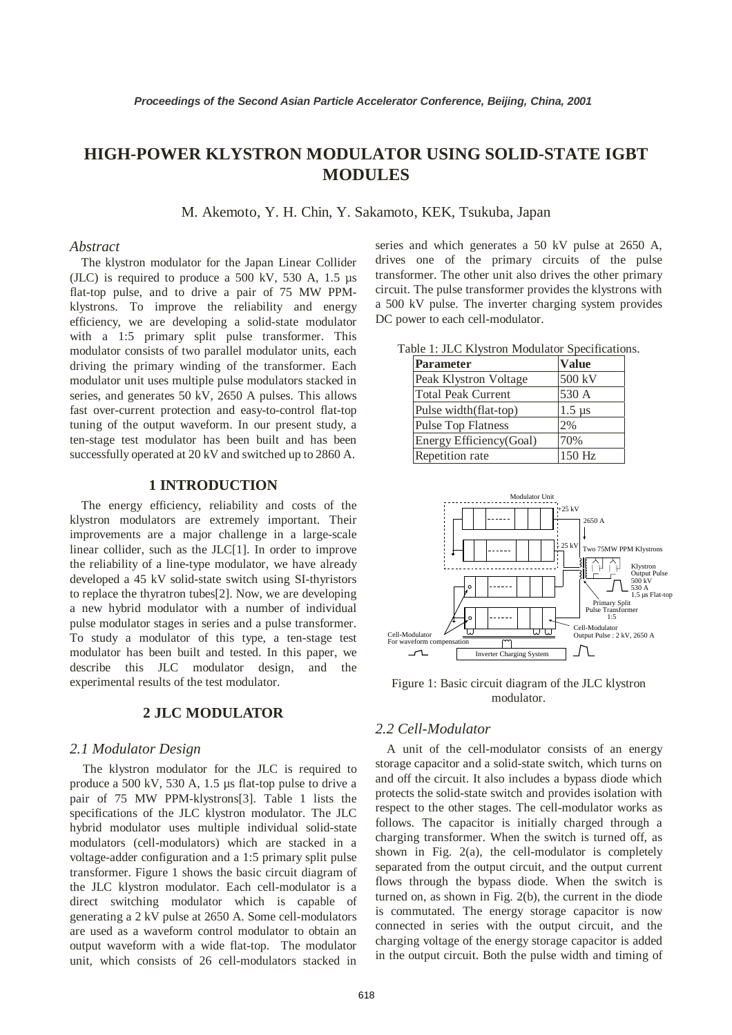# **HIGH-POWER KLYSTRON MODULATOR USING SOLID-STATE IGBT MODULES**

M. Akemoto, Y. H. Chin, Y. Sakamoto, KEK, Tsukuba, Japan

### *Abstract*

The klystron modulator for the Japan Linear Collider (JLC) is required to produce a 500 kV, 530 A, 1.5 µs flat-top pulse, and to drive a pair of 75 MW PPMklystrons. To improve the reliability and energy efficiency, we are developing a solid-state modulator with a 1:5 primary split pulse transformer. This modulator consists of two parallel modulator units, each driving the primary winding of the transformer. Each modulator unit uses multiple pulse modulators stacked in series, and generates 50 kV, 2650 A pulses. This allows fast over-current protection and easy-to-control flat-top tuning of the output waveform. In our present study, a ten-stage test modulator has been built and has been successfully operated at 20 kV and switched up to 2860 A.

### **1 INTRODUCTION**

The energy efficiency, reliability and costs of the klystron modulators are extremely important. Their improvements are a major challenge in a large-scale linear collider, such as the JLC[1]. In order to improve the reliability of a line-type modulator, we have already developed a 45 kV solid-state switch using SI-thyristors to replace the thyratron tubes[2]. Now, we are developing a new hybrid modulator with a number of individual pulse modulator stages in series and a pulse transformer. To study a modulator of this type, a ten-stage test modulator has been built and tested. In this paper, we describe this JLC modulator design, and the experimental results of the test modulator.

### **2 JLC MODULATOR**

### *2.1 Modulator Design*

The klystron modulator for the JLC is required to produce a 500 kV, 530 A, 1.5 µs flat-top pulse to drive a pair of 75 MW PPM-klystrons[3]. Table 1 lists the specifications of the JLC klystron modulator. The JLC hybrid modulator uses multiple individual solid-state modulators (cell-modulators) which are stacked in a voltage-adder configuration and a 1:5 primary split pulse transformer. Figure 1 shows the basic circuit diagram of the JLC klystron modulator. Each cell-modulator is a direct switching modulator which is capable of generating a 2 kV pulse at 2650 A. Some cell-modulators are used as a waveform control modulator to obtain an output waveform with a wide flat-top. The modulator unit, which consists of 26 cell-modulators stacked in

series and which generates a 50 kV pulse at 2650 A, drives one of the primary circuits of the pulse transformer. The other unit also drives the other primary circuit. The pulse transformer provides the klystrons with a 500 kV pulse. The inverter charging system provides DC power to each cell-modulator.

| Table 1: JLC Klystron Modulator Specifications. |  |  |  |  |
|-------------------------------------------------|--|--|--|--|
|-------------------------------------------------|--|--|--|--|

| <b>Parameter</b>          | <b>Value</b>  |
|---------------------------|---------------|
| Peak Klystron Voltage     | 500 kV        |
| <b>Total Peak Current</b> | 530 A         |
| Pulse width(flat-top)     | $1.5 \,\mu s$ |
| Pulse Top Flatness        | 2%            |
| Energy Efficiency(Goal)   | 70%           |
| Repetition rate           | 150 Hz        |



Figure 1: Basic circuit diagram of the JLC klystron modulator.

### *2.2 Cell-Modulator*

A unit of the cell-modulator consists of an energy storage capacitor and a solid-state switch, which turns on and off the circuit. It also includes a bypass diode which protects the solid-state switch and provides isolation with respect to the other stages. The cell-modulator works as follows. The capacitor is initially charged through a charging transformer. When the switch is turned off, as shown in Fig. 2(a), the cell-modulator is completely separated from the output circuit, and the output current flows through the bypass diode. When the switch is turned on, as shown in Fig. 2(b), the current in the diode is commutated. The energy storage capacitor is now connected in series with the output circuit, and the charging voltage of the energy storage capacitor is added in the output circuit. Both the pulse width and timing of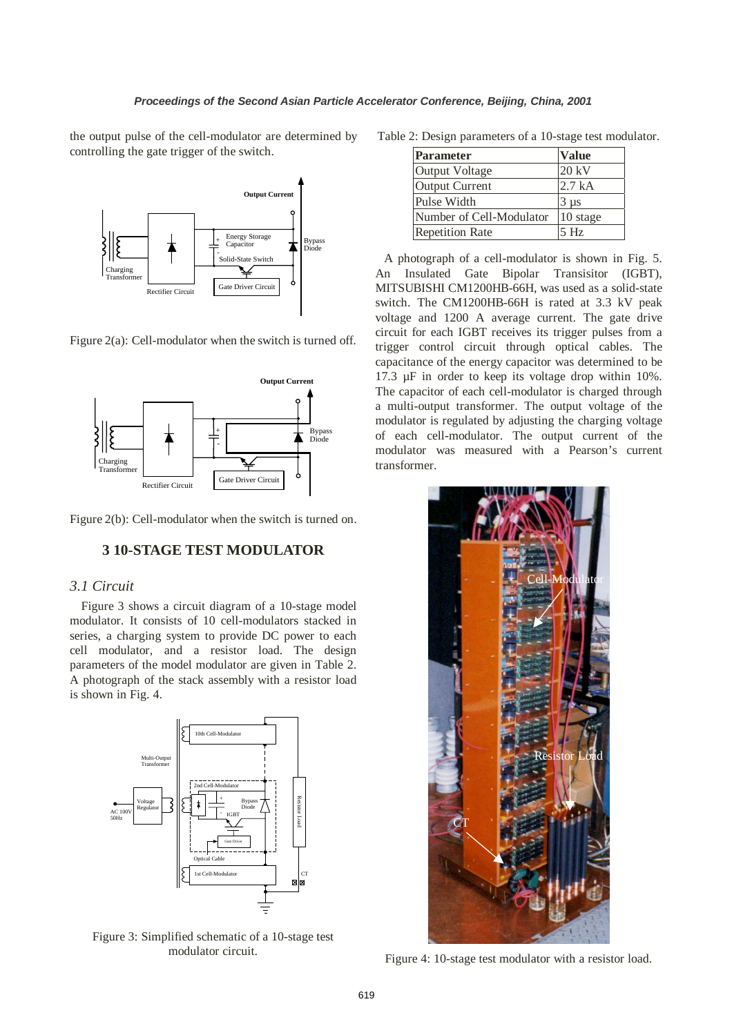the output pulse of the cell-modulator are determined by controlling the gate trigger of the switch.



Figure 2(a): Cell-modulator when the switch is turned off.



Figure 2(b): Cell-modulator when the switch is turned on.

# **3 10-STAGE TEST MODULATOR**

### *3.1 Circuit*

Figure 3 shows a circuit diagram of a 10-stage model modulator. It consists of 10 cell-modulators stacked in series, a charging system to provide DC power to each cell modulator, and a resistor load. The design parameters of the model modulator are given in Table 2. A photograph of the stack assembly with a resistor load is shown in Fig. 4.



Figure 3: Simplified schematic of a 10-stage test modulator circuit.

Table 2: Design parameters of a 10-stage test modulator.

| Parameter                | <b>Value</b> |
|--------------------------|--------------|
| Output Voltage           | 20 kV        |
| Output Current           | 2.7 kA       |
| Pulse Width              | $3 \mu s$    |
| Number of Cell-Modulator | 10 stage     |
| <b>Repetition Rate</b>   | 5Hz          |

A photograph of a cell-modulator is shown in Fig. 5. An Insulated Gate Bipolar Transisitor (IGBT), MITSUBISHI CM1200HB-66H, was used as a solid-state switch. The CM1200HB-66H is rated at 3.3 kV peak voltage and 1200 A average current. The gate drive circuit for each IGBT receives its trigger pulses from a trigger control circuit through optical cables. The capacitance of the energy capacitor was determined to be 17.3 µF in order to keep its voltage drop within 10%. The capacitor of each cell-modulator is charged through a multi-output transformer. The output voltage of the modulator is regulated by adjusting the charging voltage of each cell-modulator. The output current of the modulator was measured with a Pearson's current transformer.



Figure 4: 10-stage test modulator with a resistor load.